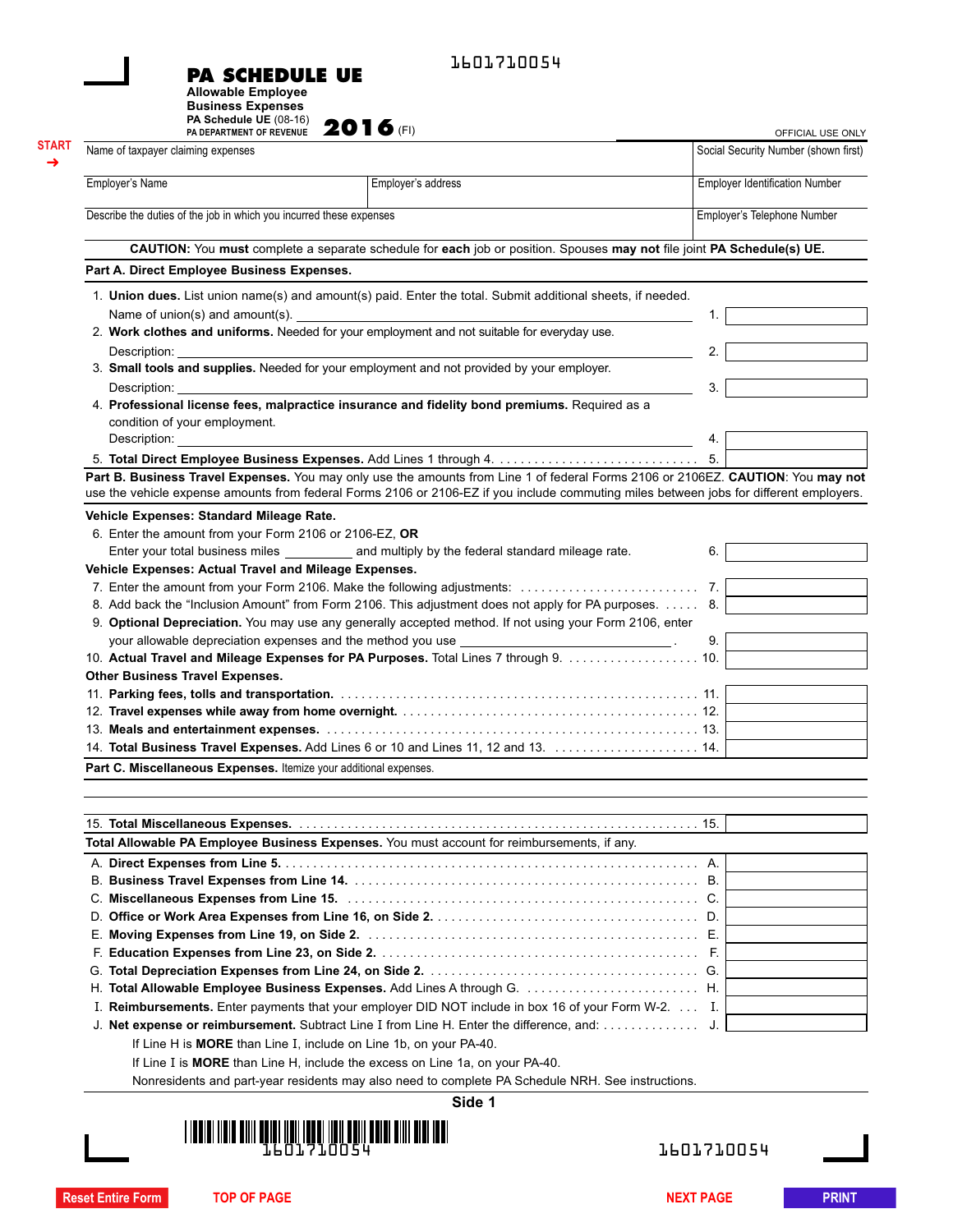|  | 1601710054 |
|--|------------|
|--|------------|

**PA SCHEDULE UE**

**Allowable Employee Business Expenses**

**START** ➜

| PA Schedule UE (08-16)<br>PA DEPARTMENT OF REVENUE                       | <b>2016</b>                                                                                                                             |                                       | OFFICIAL USE ONLY                    |
|--------------------------------------------------------------------------|-----------------------------------------------------------------------------------------------------------------------------------------|---------------------------------------|--------------------------------------|
| Name of taxpayer claiming expenses                                       |                                                                                                                                         |                                       | Social Security Number (shown first) |
| Employer's Name                                                          | Employer's address                                                                                                                      | <b>Employer Identification Number</b> |                                      |
| Describe the duties of the job in which you incurred these expenses      |                                                                                                                                         |                                       | Employer's Telephone Number          |
|                                                                          | CAUTION: You must complete a separate schedule for each job or position. Spouses may not file joint PA Schedule(s) UE.                  |                                       |                                      |
| Part A. Direct Employee Business Expenses.                               |                                                                                                                                         |                                       |                                      |
|                                                                          | 1. Union dues. List union name(s) and amount(s) paid. Enter the total. Submit additional sheets, if needed.                             |                                       |                                      |
|                                                                          | Name of union(s) and amount(s). $\Box$                                                                                                  | 1.                                    |                                      |
|                                                                          | 2. Work clothes and uniforms. Needed for your employment and not suitable for everyday use.                                             |                                       |                                      |
| Description:                                                             | 3. Small tools and supplies. Needed for your employment and not provided by your employer.                                              | 2.                                    |                                      |
| Description: <b>Example</b>                                              |                                                                                                                                         | 3.                                    |                                      |
|                                                                          | 4. Professional license fees, malpractice insurance and fidelity bond premiums. Required as a                                           |                                       |                                      |
| condition of your employment.                                            |                                                                                                                                         | 4.                                    |                                      |
|                                                                          | 5. Total Direct Employee Business Expenses. Add Lines 1 through 4.                                                                      | 5.                                    |                                      |
|                                                                          | Part B. Business Travel Expenses. You may only use the amounts from Line 1 of federal Forms 2106 or 2106EZ. CAUTION: You may not        |                                       |                                      |
|                                                                          | use the vehicle expense amounts from federal Forms 2106 or 2106-EZ if you include commuting miles between jobs for different employers. |                                       |                                      |
| Vehicle Expenses: Standard Mileage Rate.                                 |                                                                                                                                         |                                       |                                      |
| 6. Enter the amount from your Form 2106 or 2106-EZ, OR                   |                                                                                                                                         |                                       |                                      |
|                                                                          | Enter your total business miles <b>Enter the State of the State Law and multiply</b> by the federal standard mileage rate.              | 6.                                    |                                      |
| Vehicle Expenses: Actual Travel and Mileage Expenses.                    |                                                                                                                                         |                                       |                                      |
|                                                                          | 7. Enter the amount from your Form 2106. Make the following adjustments:                                                                | 7.                                    |                                      |
|                                                                          | 8. Add back the "Inclusion Amount" from Form 2106. This adjustment does not apply for PA purposes.  8.                                  |                                       |                                      |
|                                                                          | 9. Optional Depreciation. You may use any generally accepted method. If not using your Form 2106, enter                                 |                                       |                                      |
|                                                                          |                                                                                                                                         | 9.                                    |                                      |
|                                                                          | 10. Actual Travel and Mileage Expenses for PA Purposes. Total Lines 7 through 9. 10.                                                    |                                       |                                      |
| <b>Other Business Travel Expenses.</b>                                   |                                                                                                                                         |                                       |                                      |
|                                                                          |                                                                                                                                         |                                       |                                      |
|                                                                          |                                                                                                                                         |                                       |                                      |
|                                                                          |                                                                                                                                         |                                       |                                      |
|                                                                          |                                                                                                                                         |                                       |                                      |
| Part C. Miscellaneous Expenses. Itemize your additional expenses.        |                                                                                                                                         |                                       |                                      |
|                                                                          |                                                                                                                                         |                                       |                                      |
|                                                                          |                                                                                                                                         |                                       |                                      |
|                                                                          | Total Allowable PA Employee Business Expenses. You must account for reimbursements, if any.                                             |                                       |                                      |
|                                                                          |                                                                                                                                         |                                       |                                      |
|                                                                          |                                                                                                                                         | А.                                    |                                      |
|                                                                          |                                                                                                                                         |                                       |                                      |
|                                                                          |                                                                                                                                         |                                       |                                      |
|                                                                          |                                                                                                                                         |                                       |                                      |
|                                                                          |                                                                                                                                         |                                       |                                      |
|                                                                          |                                                                                                                                         |                                       |                                      |
|                                                                          |                                                                                                                                         |                                       |                                      |
|                                                                          | I. Reimbursements. Enter payments that your employer DID NOT include in box 16 of your Form W-2. I.                                     |                                       |                                      |
|                                                                          |                                                                                                                                         |                                       |                                      |
|                                                                          |                                                                                                                                         |                                       |                                      |
| If Line H is <b>MORE</b> than Line I, include on Line 1b, on your PA-40. |                                                                                                                                         |                                       |                                      |
|                                                                          | If Line I is MORE than Line H, include the excess on Line 1a, on your PA-40.                                                            |                                       |                                      |
|                                                                          | Nonresidents and part-year residents may also need to complete PA Schedule NRH. See instructions.                                       |                                       |                                      |
|                                                                          | Side 1                                                                                                                                  |                                       |                                      |



1601710054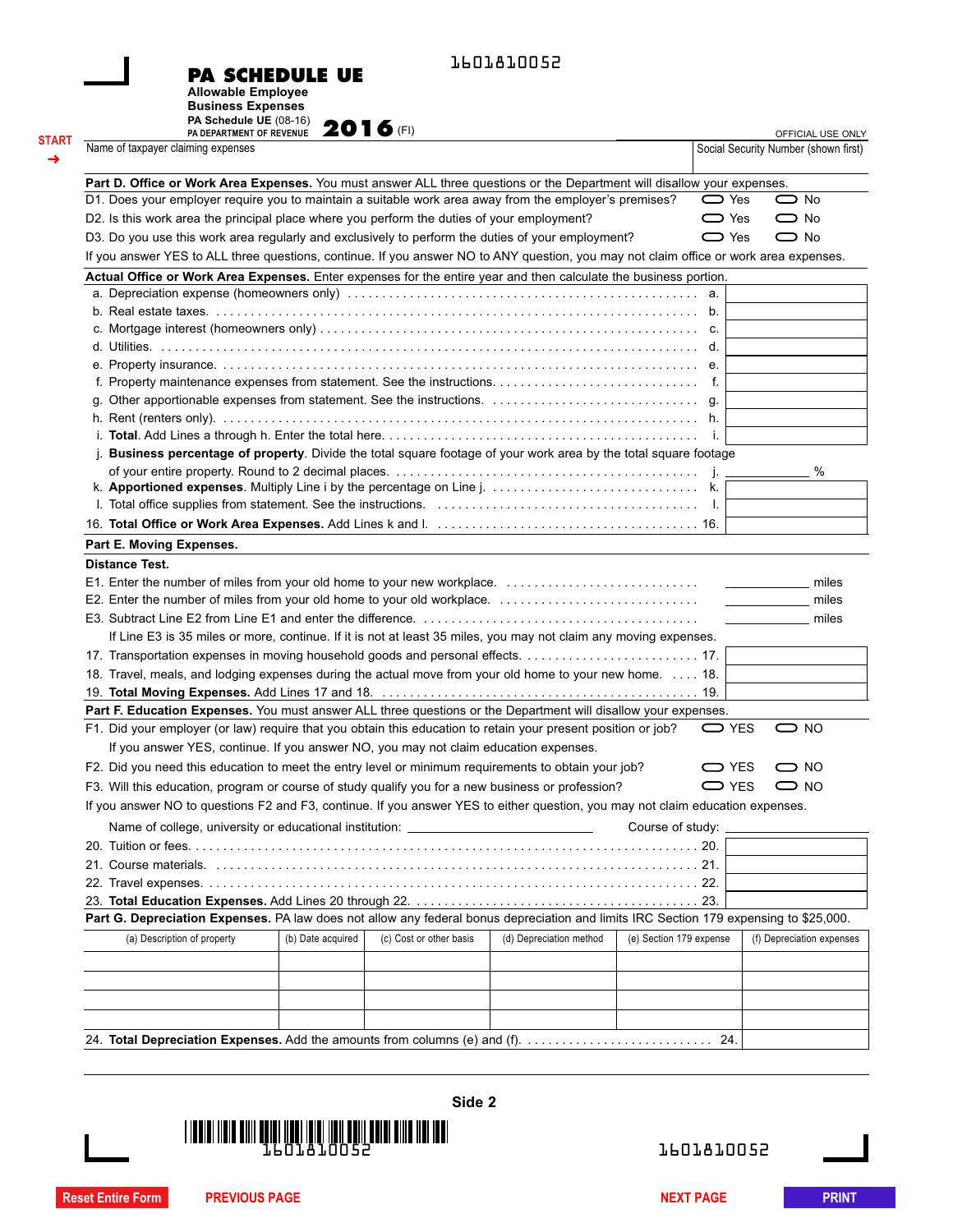| <b>PA SCHEDULE UE</b> |  |
|-----------------------|--|
|-----------------------|--|

1601810052

**Allowable Employee Business Expenses**

| Name of taxpayer claiming expenses                                                                                                    | PA Schedule UE $(08-16)$ 2016 (FI) |                         |                         |                         | Social Security Number (shown first) | OFFICIAL USE ONLY         |
|---------------------------------------------------------------------------------------------------------------------------------------|------------------------------------|-------------------------|-------------------------|-------------------------|--------------------------------------|---------------------------|
|                                                                                                                                       |                                    |                         |                         |                         |                                      |                           |
| Part D. Office or Work Area Expenses. You must answer ALL three questions or the Department will disallow your expenses.              |                                    |                         |                         |                         |                                      |                           |
| D1. Does your employer require you to maintain a suitable work area away from the employer's premises?                                |                                    |                         |                         | $\sum$ Yes              |                                      | $\bigcirc$ No             |
| D2. Is this work area the principal place where you perform the duties of your employment?                                            |                                    |                         |                         | $\sum$ Yes              |                                      | $\bigcirc$ No             |
| D3. Do you use this work area regularly and exclusively to perform the duties of your employment?                                     |                                    |                         |                         | $\sum$ Yes              |                                      | $\bigcirc$ No             |
| If you answer YES to ALL three questions, continue. If you answer NO to ANY question, you may not claim office or work area expenses. |                                    |                         |                         |                         |                                      |                           |
| Actual Office or Work Area Expenses. Enter expenses for the entire year and then calculate the business portion.                      |                                    |                         |                         |                         |                                      |                           |
|                                                                                                                                       |                                    |                         |                         |                         |                                      |                           |
|                                                                                                                                       |                                    |                         |                         |                         |                                      |                           |
|                                                                                                                                       |                                    |                         |                         |                         |                                      |                           |
|                                                                                                                                       |                                    |                         |                         |                         |                                      |                           |
|                                                                                                                                       |                                    |                         |                         |                         |                                      |                           |
|                                                                                                                                       |                                    |                         |                         |                         |                                      |                           |
|                                                                                                                                       |                                    |                         |                         |                         |                                      |                           |
|                                                                                                                                       |                                    |                         |                         |                         |                                      |                           |
|                                                                                                                                       |                                    |                         |                         |                         |                                      |                           |
| j. Business percentage of property. Divide the total square footage of your work area by the total square footage                     |                                    |                         |                         |                         |                                      |                           |
|                                                                                                                                       |                                    |                         |                         |                         |                                      | %                         |
|                                                                                                                                       |                                    |                         |                         |                         |                                      |                           |
|                                                                                                                                       |                                    |                         |                         |                         |                                      |                           |
|                                                                                                                                       |                                    |                         |                         |                         |                                      |                           |
| Part E. Moving Expenses.                                                                                                              |                                    |                         |                         |                         |                                      |                           |
|                                                                                                                                       |                                    |                         |                         |                         |                                      | miles<br>miles            |
| If Line E3 is 35 miles or more, continue. If it is not at least 35 miles, you may not claim any moving expenses.                      |                                    |                         |                         |                         |                                      |                           |
|                                                                                                                                       |                                    |                         |                         |                         |                                      |                           |
| 18. Travel, meals, and lodging expenses during the actual move from your old home to your new home. 18.                               |                                    |                         |                         |                         |                                      |                           |
|                                                                                                                                       |                                    |                         |                         |                         |                                      |                           |
| Part F. Education Expenses. You must answer ALL three questions or the Department will disallow your expenses.                        |                                    |                         |                         |                         |                                      |                           |
| F1. Did your employer (or law) require that you obtain this education to retain your present position or job?                         |                                    |                         |                         |                         | <b>□</b> YES                         | $\bigcirc$ NO             |
| If you answer YES, continue. If you answer NO, you may not claim education expenses.                                                  |                                    |                         |                         |                         |                                      |                           |
| F2. Did you need this education to meet the entry level or minimum requirements to obtain your job?                                   |                                    |                         |                         |                         | $\bigcirc$ YES                       | $\bigcirc$ NO             |
| F3. Will this education, program or course of study qualify you for a new business or profession?                                     |                                    |                         |                         |                         | $\bigcirc$ YES                       | $\bigcirc$ NO             |
| If you answer NO to questions F2 and F3, continue. If you answer YES to either question, you may not claim education expenses.        |                                    |                         |                         |                         |                                      |                           |
| Name of college, university or educational institution: ________________________                                                      |                                    |                         |                         | Course of study:        |                                      |                           |
|                                                                                                                                       |                                    |                         |                         |                         |                                      |                           |
|                                                                                                                                       |                                    |                         |                         |                         |                                      |                           |
|                                                                                                                                       |                                    |                         |                         |                         |                                      |                           |
|                                                                                                                                       |                                    |                         |                         |                         |                                      |                           |
|                                                                                                                                       |                                    |                         |                         |                         |                                      |                           |
|                                                                                                                                       |                                    |                         |                         |                         |                                      |                           |
| Part G. Depreciation Expenses. PA law does not allow any federal bonus depreciation and limits IRC Section 179 expensing to \$25,000. |                                    |                         |                         |                         |                                      |                           |
| (a) Description of property                                                                                                           | (b) Date acquired                  | (c) Cost or other basis | (d) Depreciation method | (e) Section 179 expense |                                      |                           |
|                                                                                                                                       |                                    |                         |                         |                         |                                      |                           |
|                                                                                                                                       |                                    |                         |                         |                         |                                      | (f) Depreciation expenses |
|                                                                                                                                       |                                    |                         |                         |                         |                                      |                           |



1601810052

**Reset Entire Form PREVIOUS PAGE NEXT PAGE NEXT PAGE PRINT**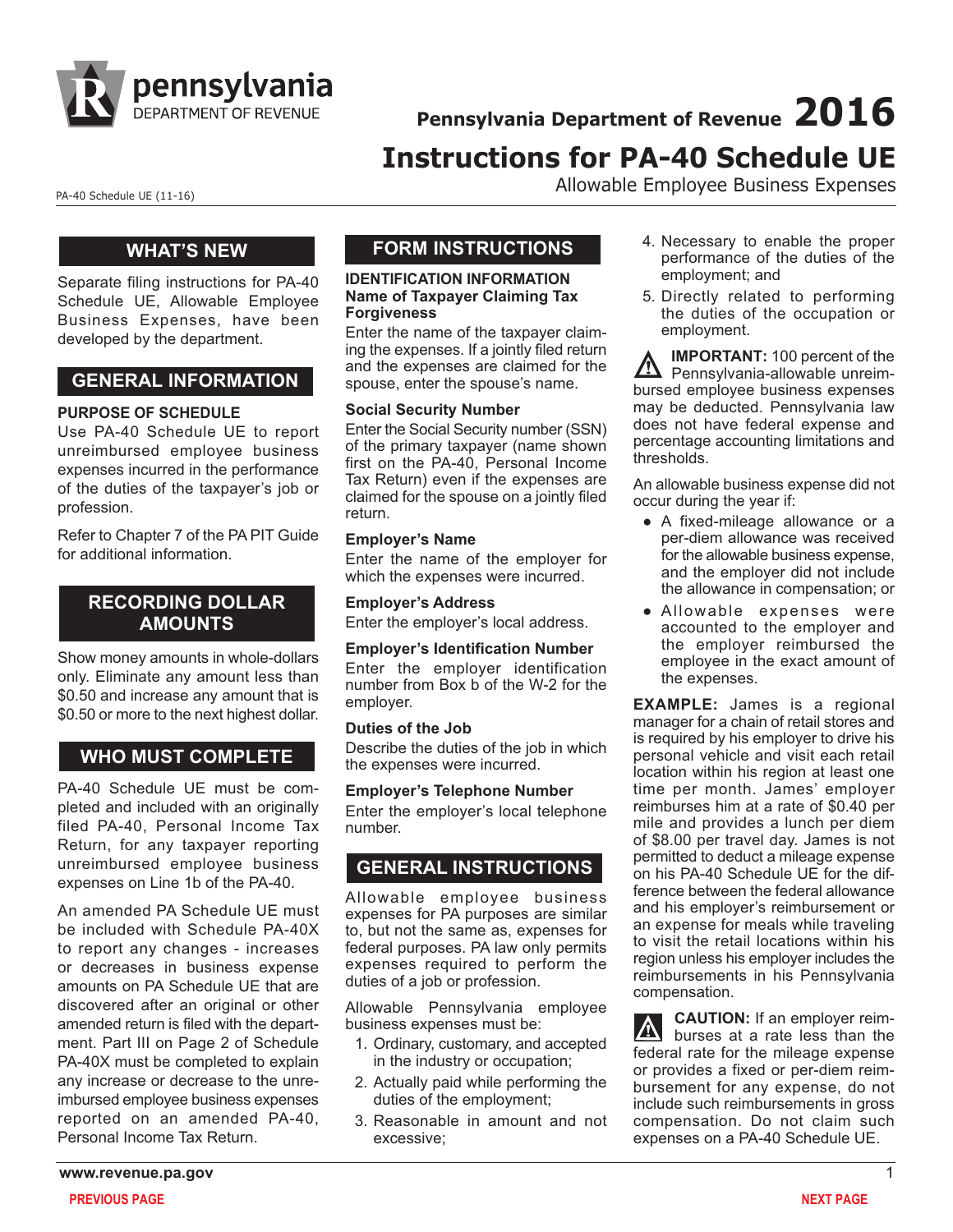

**Pennsylvania Department of Revenue 2016**

# **Instructions for PA-40 Schedule UE**

PA-40 Schedule UE (11-16) **Allowable Employee Business Expenses** 

### **WHAT'S NEW**

Separate filing instructions for PA-40 Schedule UE, Allowable Employee Business Expenses, have been developed by the department.

# **GENERAL INFORMATION**

#### **PURPOSE OF SCHEDULE**

Use PA-40 Schedule UE to report unreimbursed employee business expenses incurred in the performance of the duties of the taxpayer's job or profession.

Refer to Chapter 7 of the PA PIT Guide for additional information.

# **RECORDING DOLLAR AMOUNTS**

Show money amounts in whole-dollars only. Eliminate any amount less than \$0.50 and increase any amount that is \$0.50 or more to the next highest dollar.

# **WHO MUST COMPLETE**

PA-40 Schedule UE must be completed and included with an originally filed PA-40, Personal Income Tax Return, for any taxpayer reporting unreimbursed employee business expenses on Line 1b of the PA-40.

An amended PA Schedule UE must be included with Schedule PA-40X to report any changes - increases or decreases in business expense amounts on PA Schedule UE that are discovered after an original or other amended return is filed with the department. Part III on Page 2 of Schedule PA-40X must be completed to explain any increase or decrease to the unreimbursed employee business expenses reported on an amended PA-40, Personal Income Tax Return.

# **FORM INSTRUCTIONS**

#### **IDENTIFICATION INFORMATION Name of Taxpayer Claiming Tax Forgiveness**

Enter the name of the taxpayer claiming the expenses. If a jointly filed return and the expenses are claimed for the spouse, enter the spouse's name.

#### **Social Security Number**

Enter the Social Security number (SSN) of the primary taxpayer (name shown first on the PA-40, Personal Income Tax Return) even if the expenses are claimed for the spouse on a jointly filed return.

#### **Employer's Name**

Enter the name of the employer for which the expenses were incurred.

### **Employer's Address**

Enter the employer's local address.

#### **Employer's Identification Number**

Enter the employer identification number from Box b of the W-2 for the employer.

#### **Duties of the Job**

Describe the duties of the job in which the expenses were incurred.

**Employer's Telephone Number**

Enter the employer's local telephone number.

# **GENERAL INSTRUCTIONS**

Allowable employee business expenses for PA purposes are similar to, but not the same as, expenses for federal purposes. PA law only permits expenses required to perform the duties of a job or profession.

Allowable Pennsylvania employee business expenses must be:

- 1. Ordinary, customary, and accepted in the industry or occupation;
- 2. Actually paid while performing the duties of the employment;
- 3. Reasonable in amount and not excessive;
- 4. Necessary to enable the proper performance of the duties of the employment; and
- 5. Directly related to performing the duties of the occupation or employment.

**IMPORTANT:** 100 percent of the Pennsylvania-allowable unreimbursed employee business expenses may be deducted. Pennsylvania law does not have federal expense and percentage accounting limitations and thresholds.

An allowable business expense did not occur during the year if:

- A fixed-mileage allowance or a per-diem allowance was received for the allowable business expense, and the employer did not include the allowance in compensation; or
- Allowable expenses were accounted to the employer and the employer reimbursed the employee in the exact amount of the expenses.

**EXAMPLE:** James is a regional manager for a chain of retail stores and is required by his employer to drive his personal vehicle and visit each retail location within his region at least one time per month. James' employer reimburses him at a rate of \$0.40 per mile and provides a lunch per diem of \$8.00 per travel day. James is not permitted to deduct a mileage expense on his PA-40 Schedule UE for the difference between the federal allowance and his employer's reimbursement or an expense for meals while traveling to visit the retail locations within his region unless his employer includes the reimbursements in his Pennsylvania compensation.

**CAUTION:** If an employer reim**burses at a rate less than the** federal rate for the mileage expense or provides a fixed or per-diem reimbursement for any expense, do not include such reimbursements in gross compensation. Do not claim such expenses on a PA-40 Schedule UE.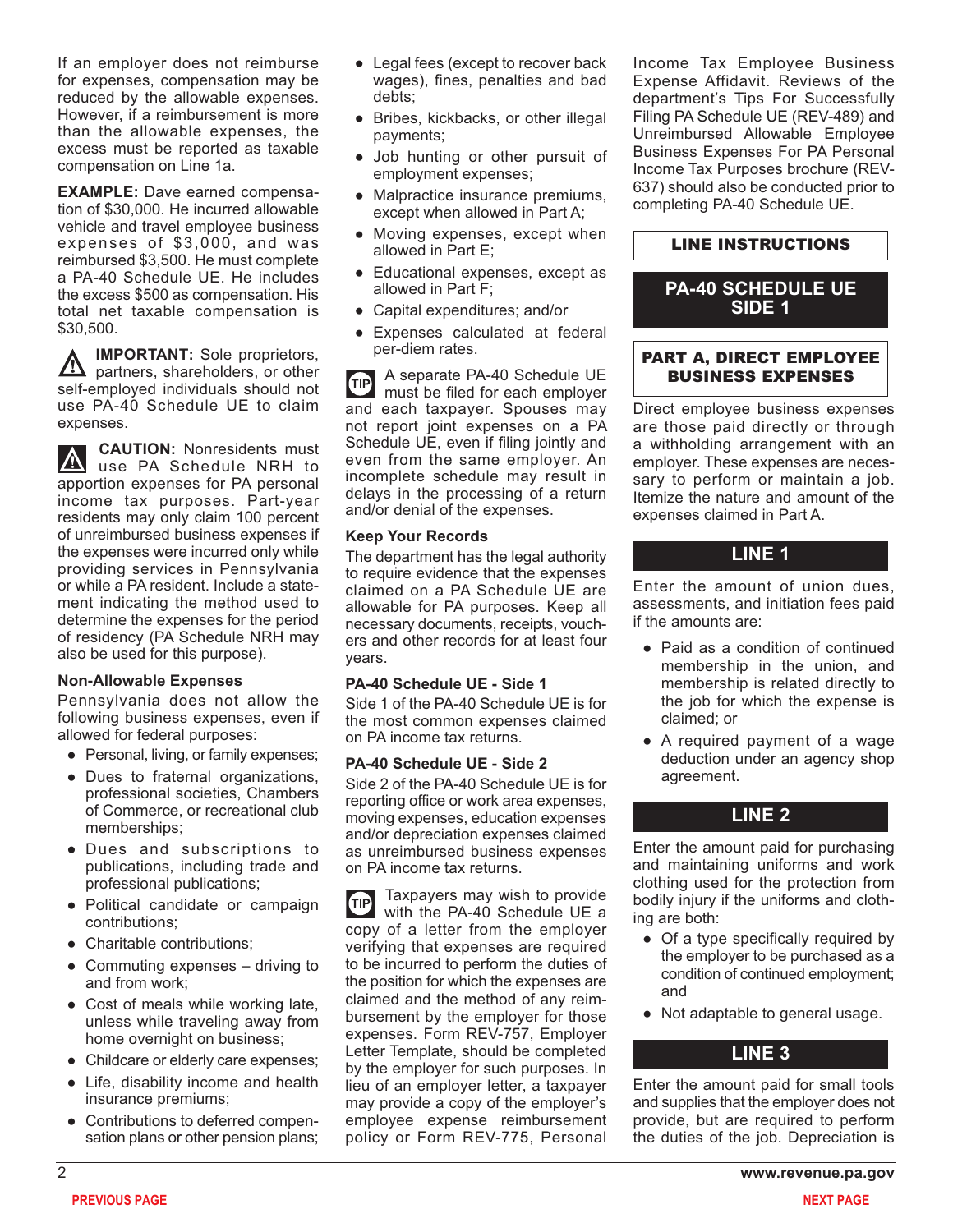If an employer does not reimburse for expenses, compensation may be reduced by the allowable expenses. However, if a reimbursement is more than the allowable expenses, the excess must be reported as taxable compensation on Line 1a.

**EXAMPLE:** Dave earned compensation of \$30,000. He incurred allowable vehicle and travel employee business expenses of \$3,000, and was reimbursed \$3,500. He must complete a PA-40 Schedule UE. He includes the excess \$500 as compensation. His total net taxable compensation is \$30,500.

**IMPORTANT:** Sole proprietors,  $\overline{\mathbb{V}}$ partners, shareholders, or other self-employed individuals should not use PA-40 Schedule UE to claim expenses.

**CAUTION:** Nonresidents must  $|\nabla$ use PA Schedule NRH to apportion expenses for PA personal income tax purposes. Part-year residents may only claim 100 percent of unreimbursed business expenses if the expenses were incurred only while providing services in Pennsylvania or while a PA resident. Include a statement indicating the method used to determine the expenses for the period of residency (PA Schedule NRH may also be used for this purpose).

#### **Non-Allowable Expenses**

Pennsylvania does not allow the following business expenses, even if allowed for federal purposes:

- Personal, living, or family expenses;
- Dues to fraternal organizations, professional societies, Chambers of Commerce, or recreational club memberships;
- Dues and subscriptions to publications, including trade and professional publications;
- Political candidate or campaign contributions;
- Charitable contributions:
- Commuting expenses driving to and from work;
- Cost of meals while working late, unless while traveling away from home overnight on business;
- Childcare or elderly care expenses;
- Life, disability income and health insurance premiums;
- Contributions to deferred compensation plans or other pension plans;
- Legal fees (except to recover back wages), fines, penalties and bad debts;
- Bribes, kickbacks, or other illegal payments;
- Job hunting or other pursuit of employment expenses;
- Malpractice insurance premiums, except when allowed in Part A;
- Moving expenses, except when allowed in Part E;
- Educational expenses, except as allowed in Part F;
- Capital expenditures; and/or
- Expenses calculated at federal per-diem rates.

A separate PA-40 Schedule UE  $(TIP)$ must be filed for each employer and each taxpayer. Spouses may not report joint expenses on a PA Schedule UE, even if filing jointly and even from the same employer. An incomplete schedule may result in delays in the processing of a return and/or denial of the expenses.

#### **Keep Your Records**

The department has the legal authority to require evidence that the expenses claimed on a PA Schedule UE are allowable for PA purposes. Keep all necessary documents, receipts, vouchers and other records for at least four years.

#### **PA-40 Schedule UE - Side 1**

Side 1 of the PA-40 Schedule UE is for the most common expenses claimed on PA income tax returns.

#### **PA-40 Schedule UE - Side 2**

Side 2 of the PA-40 Schedule UE is for reporting office or work area expenses, moving expenses, education expenses and/or depreciation expenses claimed as unreimbursed business expenses on PA income tax returns.

Taxpayers may wish to provide **GIP** with the PA-40 Schedule UE a copy of a letter from the employer verifying that expenses are required to be incurred to perform the duties of the position for which the expenses are claimed and the method of any reimbursement by the employer for those expenses. Form REV-757, Employer Letter Template, should be completed by the employer for such purposes. In lieu of an employer letter, a taxpayer may provide a copy of the employer's employee expense reimbursement policy or Form REV-775, Personal Income Tax Employee Business Expense Affidavit. Reviews of the department's Tips For Successfully Filing PA Schedule UE (REV-489) and Unreimbursed Allowable Employee Business Expenses For PA Personal Income Tax Purposes brochure (REV-637) should also be conducted prior to completing PA-40 Schedule UE.

#### LINE INSTRUCTIONS

### **PA-40 SCHEDULE UE SIDE 1**

#### PART A, DIRECT EMPLOYEE BUSINESS EXPENSES

Direct employee business expenses are those paid directly or through a withholding arrangement with an employer. These expenses are necessary to perform or maintain a job. Itemize the nature and amount of the expenses claimed in Part A.

### **LINE 1**

Enter the amount of union dues, assessments, and initiation fees paid if the amounts are:

- Paid as a condition of continued membership in the union, and membership is related directly to the job for which the expense is claimed; or
- A required payment of a wage deduction under an agency shop agreement.

#### **LINE 2**

Enter the amount paid for purchasing and maintaining uniforms and work clothing used for the protection from bodily injury if the uniforms and clothing are both:

- Of a type specifically required by the employer to be purchased as a condition of continued employment; and
- Not adaptable to general usage.

### **LINE 3**

Enter the amount paid for small tools and supplies that the employer does not provide, but are required to perform the duties of the job. Depreciation is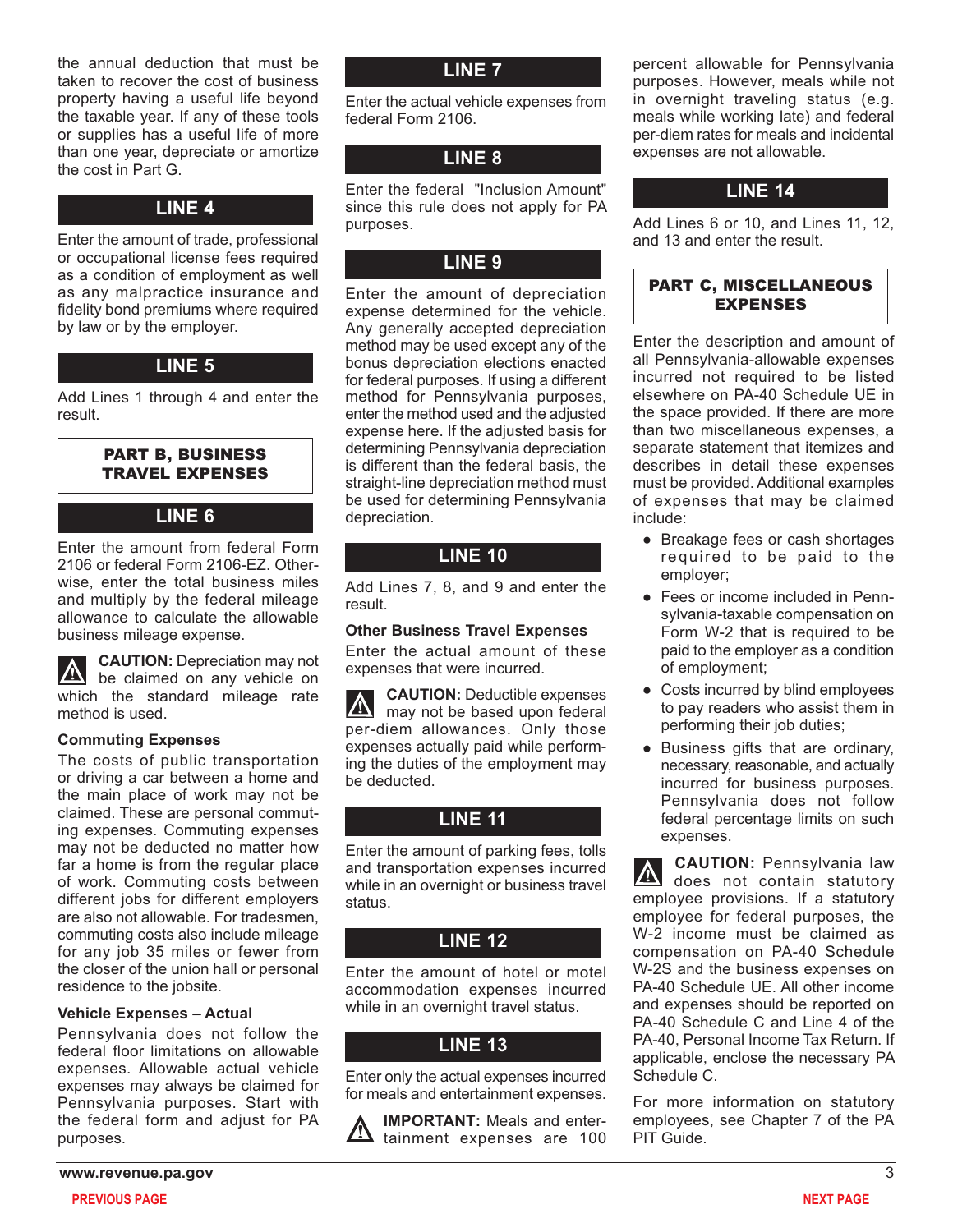the annual deduction that must be taken to recover the cost of business property having a useful life beyond the taxable year. If any of these tools or supplies has a useful life of more than one year, depreciate or amortize the cost in Part G.

# **LINE 4**

Enter the amount of trade, professional or occupational license fees required as a condition of employment as well as any malpractice insurance and fidelity bond premiums where required by law or by the employer.

### **LINE 5**

Add Lines 1 through 4 and enter the result.

#### PART B, BUSINESS TRAVEL EXPENSES

### **LINE 6**

Enter the amount from federal Form 2106 or federal Form 2106-EZ. Otherwise, enter the total business miles and multiply by the federal mileage allowance to calculate the allowable business mileage expense.

**CAUTION:** Depreciation may not **A** be claimed on any vehicle on which the standard mileage rate method is used.

#### **Commuting Expenses**

The costs of public transportation or driving a car between a home and the main place of work may not be claimed. These are personal commuting expenses. Commuting expenses may not be deducted no matter how far a home is from the regular place of work. Commuting costs between different jobs for different employers are also not allowable. For tradesmen, commuting costs also include mileage for any job 35 miles or fewer from the closer of the union hall or personal residence to the jobsite.

#### **Vehicle Expenses – Actual**

Pennsylvania does not follow the federal floor limitations on allowable expenses. Allowable actual vehicle expenses may always be claimed for Pennsylvania purposes. Start with the federal form and adjust for PA purposes.

Enter the actual vehicle expenses from federal Form 2106.

# **LINE 8**

Enter the federal "Inclusion Amount" since this rule does not apply for PA purposes.

# **LINE 9**

Enter the amount of depreciation expense determined for the vehicle. Any generally accepted depreciation method may be used except any of the bonus depreciation elections enacted for federal purposes. If using a different method for Pennsylvania purposes, enter the method used and the adjusted expense here. If the adjusted basis for determining Pennsylvania depreciation is different than the federal basis, the straight-line depreciation method must be used for determining Pennsylvania depreciation.

# **LINE 10**

Add Lines 7, 8, and 9 and enter the result.

#### **Other Business Travel Expenses**

Enter the actual amount of these expenses that were incurred.

**CAUTION:** Deductible expenses may not be based upon federal per-diem allowances. Only those expenses actually paid while performing the duties of the employment may be deducted.

# **LINE 11**

Enter the amount of parking fees, tolls and transportation expenses incurred while in an overnight or business travel status.

# **LINE 12**

Enter the amount of hotel or motel accommodation expenses incurred while in an overnight travel status.

# **LINE 13**

Enter only the actual expenses incurred for meals and entertainment expenses.

**IMPORTANT:** Meals and enter- $\frac{11}{100}$  tainment expenses are 100 percent allowable for Pennsylvania purposes. However, meals while not in overnight traveling status (e.g. meals while working late) and federal per-diem rates for meals and incidental expenses are not allowable.

# **LINE 14**

Add Lines 6 or 10, and Lines 11, 12, and 13 and enter the result.

### PART C, MISCELLANEOUS EXPENSES

Enter the description and amount of all Pennsylvania-allowable expenses incurred not required to be listed elsewhere on PA-40 Schedule UE in the space provided. If there are more than two miscellaneous expenses, a separate statement that itemizes and describes in detail these expenses must be provided. Additional examples of expenses that may be claimed include:

- Breakage fees or cash shortages required to be paid to the employer;
- Fees or income included in Pennsylvania-taxable compensation on Form W-2 that is required to be paid to the employer as a condition of employment;
- Costs incurred by blind employees to pay readers who assist them in performing their job duties;
- Business gifts that are ordinary, necessary, reasonable, and actually incurred for business purposes. Pennsylvania does not follow federal percentage limits on such expenses.

**CAUTION:** Pennsylvania law does not contain statutory employee provisions. If a statutory employee for federal purposes, the W-2 income must be claimed as compensation on PA-40 Schedule W-2S and the business expenses on PA-40 Schedule UE. All other income and expenses should be reported on PA-40 Schedule C and Line 4 of the PA-40, Personal Income Tax Return. If applicable, enclose the necessary PA Schedule C.

For more information on statutory employees, see Chapter 7 of the PA PIT Guide.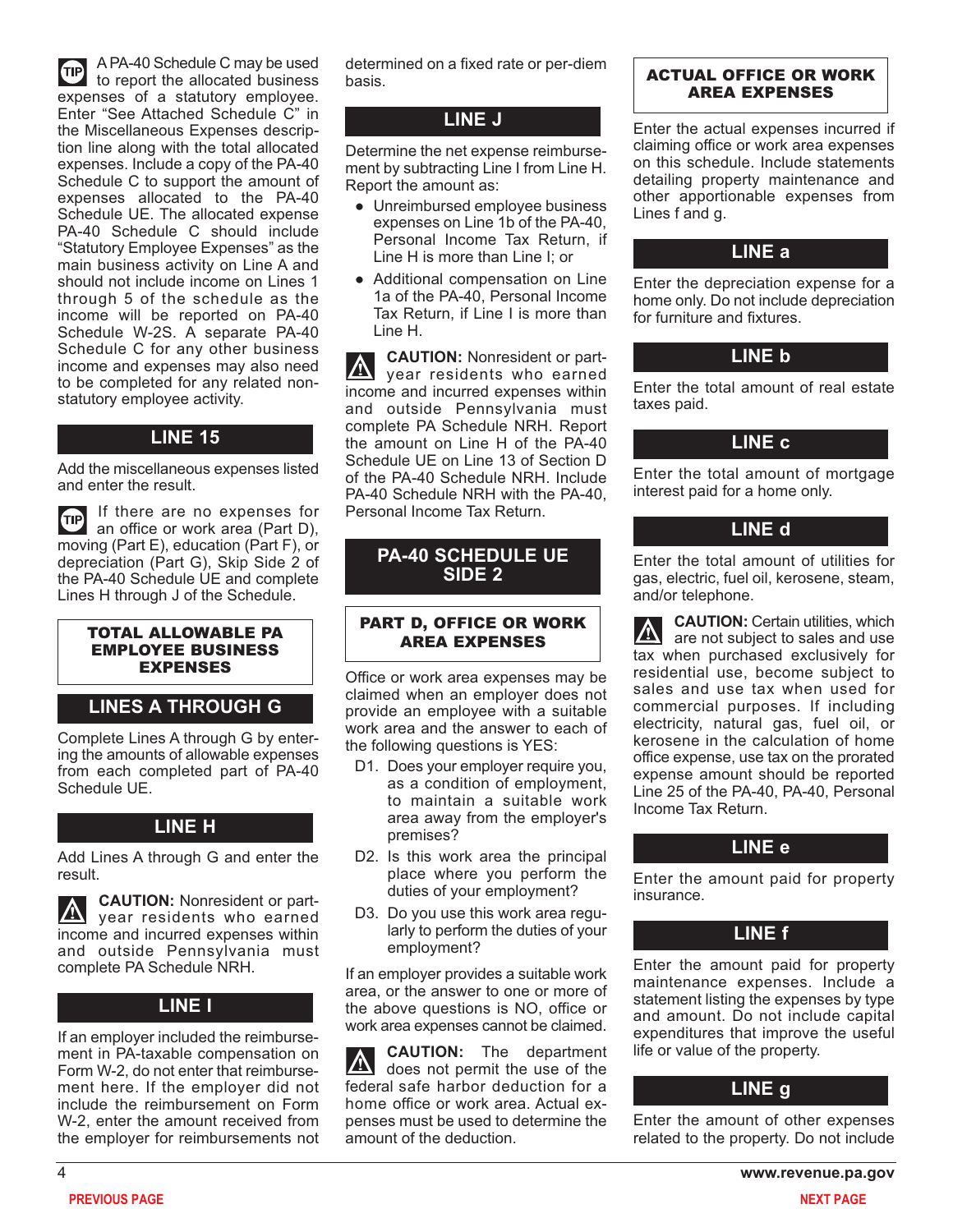A PA-40 Schedule C may be used **OD** to report the allocated business expenses of a statutory employee. Enter "See Attached Schedule C" in the Miscellaneous Expenses description line along with the total allocated expenses. Include a copy of the PA-40 Schedule C to support the amount of expenses allocated to the PA-40 Schedule UE. The allocated expense PA-40 Schedule C should include "Statutory Employee Expenses" as the main business activity on Line A and should not include income on Lines 1 through 5 of the schedule as the income will be reported on PA-40 Schedule W-2S. A separate PA-40 Schedule C for any other business income and expenses may also need to be completed for any related nonstatutory employee activity.

# **LINE 15**

Add the miscellaneous expenses listed and enter the result.

If there are no expenses for  $\bullet$ an office or work area (Part D), moving (Part E), education (Part F), or depreciation (Part G), Skip Side 2 of the PA-40 Schedule UE and complete Lines H through J of the Schedule.

#### TOTAL ALLOWABLE PA EMPLOYEE BUSINESS EXPENSES

# **LINES A THROUGH G**

Complete Lines A through G by entering the amounts of allowable expenses from each completed part of PA-40 Schedule UE.

#### **LINE H**

Add Lines A through G and enter the result.

**CAUTION:** Nonresident or partyear residents who earned income and incurred expenses within and outside Pennsylvania must complete PA Schedule NRH.

#### **LINE I**

If an employer included the reimbursement in PA-taxable compensation on Form W-2, do not enter that reimbursement here. If the employer did not include the reimbursement on Form W-2, enter the amount received from the employer for reimbursements not

determined on a fixed rate or per-diem basis.

# **LINE J**

Determine the net expense reimbursement by subtracting Line I from Line H. Report the amount as:

- Unreimbursed employee business expenses on Line 1b of the PA-40, Personal Income Tax Return, if Line H is more than Line I; or
- Additional compensation on Line 1a of the PA-40, Personal Income Tax Return, if Line I is more than Line H.

**CAUTION:** Nonresident or part- $\bm{\mathbb{\Lambda}}$ year residents who earned income and incurred expenses within and outside Pennsylvania must complete PA Schedule NRH. Report the amount on Line H of the PA-40 Schedule UE on Line 13 of Section D of the PA-40 Schedule NRH. Include PA-40 Schedule NRH with the PA-40, Personal Income Tax Return.

# **PA-40 SCHEDULE UE SIDE 2**

#### PART D, OFFICE OR WORK AREA EXPENSES

Office or work area expenses may be claimed when an employer does not provide an employee with a suitable work area and the answer to each of the following questions is YES:

- D1. Does your employer require you, as a condition of employment, to maintain a suitable work area away from the employer's premises?
- D2. Is this work area the principal place where you perform the duties of your employment?
- D3. Do you use this work area regularly to perform the duties of your employment?

If an employer provides a suitable work area, or the answer to one or more of the above questions is NO, office or work area expenses cannot be claimed.

**CAUTION:** The department  $|\mathbb{A}|$ does not permit the use of the federal safe harbor deduction for a home office or work area. Actual expenses must be used to determine the amount of the deduction.

#### ACTUAL OFFICE OR WORK AREA EXPENSES

Enter the actual expenses incurred if claiming office or work area expenses on this schedule. Include statements detailing property maintenance and other apportionable expenses from Lines f and g.

#### **LINE a**

Enter the depreciation expense for a home only. Do not include depreciation for furniture and fixtures.

#### **LINE b**

Enter the total amount of real estate taxes paid.

### **LINE c**

Enter the total amount of mortgage interest paid for a home only.

#### **LINE d**

Enter the total amount of utilities for gas, electric, fuel oil, kerosene, steam, and/or telephone.

**CAUTION:** Certain utilities, which are not subject to sales and use tax when purchased exclusively for residential use, become subject to sales and use tax when used for commercial purposes. If including electricity, natural gas, fuel oil, or kerosene in the calculation of home office expense, use tax on the prorated expense amount should be reported Line 25 of the PA-40, PA-40, Personal Income Tax Return.

### **LINE e**

Enter the amount paid for property insurance.

### **LINE f**

Enter the amount paid for property maintenance expenses. Include a statement listing the expenses by type and amount. Do not include capital expenditures that improve the useful life or value of the property.

### **LINE g**

Enter the amount of other expenses related to the property. Do not include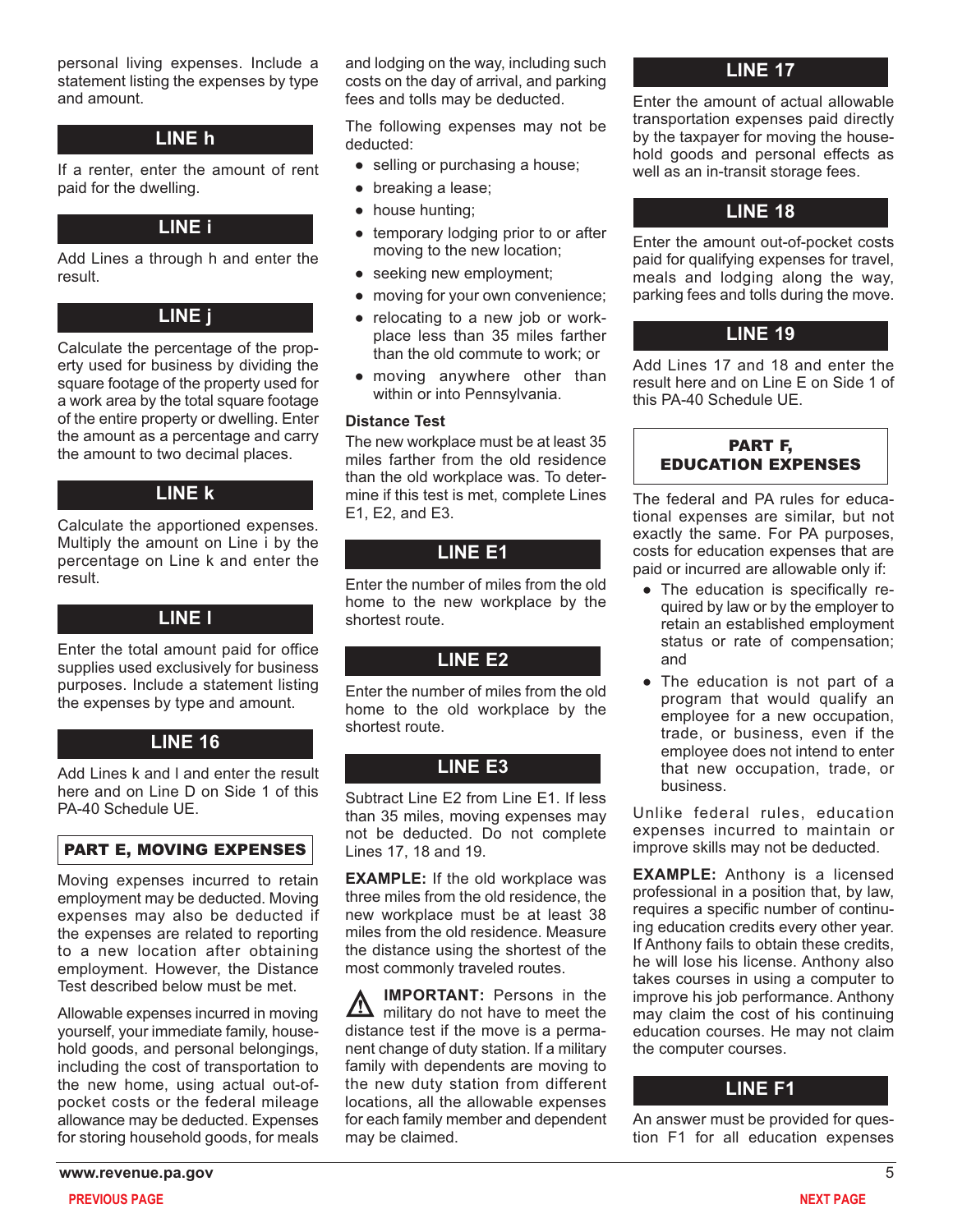personal living expenses. Include a statement listing the expenses by type and amount.

### **LINE h**

If a renter, enter the amount of rent paid for the dwelling.

#### **LINE i**

Add Lines a through h and enter the result.

### **LINE j**

Calculate the percentage of the property used for business by dividing the square footage of the property used for a work area by the total square footage of the entire property or dwelling. Enter the amount as a percentage and carry the amount to two decimal places.

### **LINE k**

Calculate the apportioned expenses. Multiply the amount on Line i by the percentage on Line k and enter the result.

#### **LINE l**

Enter the total amount paid for office supplies used exclusively for business purposes. Include a statement listing the expenses by type and amount.

# **LINE 16**

Add Lines k and l and enter the result here and on Line D on Side 1 of this PA-40 Schedule UE.

# PART E, MOVING EXPENSES

Moving expenses incurred to retain employment may be deducted. Moving expenses may also be deducted if the expenses are related to reporting to a new location after obtaining employment. However, the Distance Test described below must be met.

Allowable expenses incurred in moving yourself, your immediate family, household goods, and personal belongings, including the cost of transportation to the new home, using actual out-ofpocket costs or the federal mileage allowance may be deducted. Expenses for storing household goods, for meals

and lodging on the way, including such costs on the day of arrival, and parking fees and tolls may be deducted.

The following expenses may not be deducted:

- selling or purchasing a house;
- breaking a lease;
- house hunting;
- temporary lodging prior to or after moving to the new location;
- seeking new employment;
- moving for your own convenience;
- relocating to a new job or workplace less than 35 miles farther than the old commute to work; or
- moving anywhere other than within or into Pennsylvania.

#### **Distance Test**

The new workplace must be at least 35 miles farther from the old residence than the old workplace was. To determine if this test is met, complete Lines E1, E2, and E3.

# **LINE E1**

Enter the number of miles from the old home to the new workplace by the shortest route.

### **LINE E2**

Enter the number of miles from the old home to the old workplace by the shortest route.

# **LINE E3**

Subtract Line E2 from Line E1. If less than 35 miles, moving expenses may not be deducted. Do not complete Lines 17, 18 and 19.

**EXAMPLE:** If the old workplace was three miles from the old residence, the new workplace must be at least 38 miles from the old residence. Measure the distance using the shortest of the most commonly traveled routes.

**IMPORTANT:** Persons in the military do not have to meet the distance test if the move is a permanent change of duty station. If a military family with dependents are moving to the new duty station from different locations, all the allowable expenses for each family member and dependent may be claimed.

# **LINE 17**

Enter the amount of actual allowable transportation expenses paid directly by the taxpayer for moving the household goods and personal effects as well as an in-transit storage fees.

### **LINE 18**

Enter the amount out-of-pocket costs paid for qualifying expenses for travel, meals and lodging along the way, parking fees and tolls during the move.

# **LINE 19**

Add Lines 17 and 18 and enter the result here and on Line E on Side 1 of this PA-40 Schedule UE.

### PART F, EDUCATION EXPENSES

The federal and PA rules for educational expenses are similar, but not exactly the same. For PA purposes, costs for education expenses that are paid or incurred are allowable only if:

- The education is specifically required by law or by the employer to retain an established employment status or rate of compensation; and
- The education is not part of a program that would qualify an employee for a new occupation, trade, or business, even if the employee does not intend to enter that new occupation, trade, or business.

Unlike federal rules, education expenses incurred to maintain or improve skills may not be deducted.

**EXAMPLE:** Anthony is a licensed professional in a position that, by law, requires a specific number of continuing education credits every other year. If Anthony fails to obtain these credits, he will lose his license. Anthony also takes courses in using a computer to improve his job performance. Anthony may claim the cost of his continuing education courses. He may not claim the computer courses.

# **LINE F1**

An answer must be provided for question F1 for all education expenses